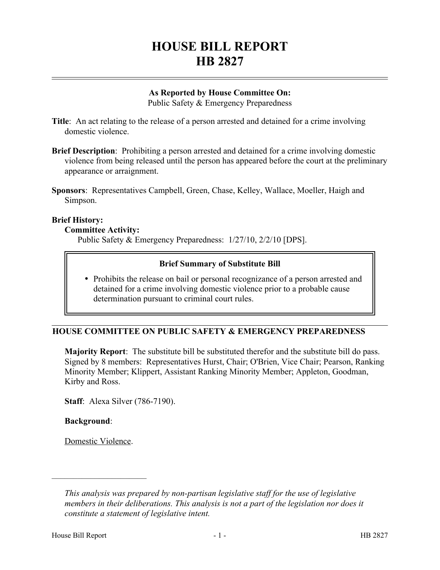# **HOUSE BILL REPORT HB 2827**

## **As Reported by House Committee On:**

Public Safety & Emergency Preparedness

- **Title**: An act relating to the release of a person arrested and detained for a crime involving domestic violence.
- **Brief Description**: Prohibiting a person arrested and detained for a crime involving domestic violence from being released until the person has appeared before the court at the preliminary appearance or arraignment.
- **Sponsors**: Representatives Campbell, Green, Chase, Kelley, Wallace, Moeller, Haigh and Simpson.

## **Brief History:**

## **Committee Activity:**

Public Safety & Emergency Preparedness: 1/27/10, 2/2/10 [DPS].

## **Brief Summary of Substitute Bill**

 Prohibits the release on bail or personal recognizance of a person arrested and detained for a crime involving domestic violence prior to a probable cause determination pursuant to criminal court rules.

## **HOUSE COMMITTEE ON PUBLIC SAFETY & EMERGENCY PREPAREDNESS**

**Majority Report**: The substitute bill be substituted therefor and the substitute bill do pass. Signed by 8 members: Representatives Hurst, Chair; O'Brien, Vice Chair; Pearson, Ranking Minority Member; Klippert, Assistant Ranking Minority Member; Appleton, Goodman, Kirby and Ross.

**Staff**: Alexa Silver (786-7190).

## **Background**:

Domestic Violence.

––––––––––––––––––––––

*This analysis was prepared by non-partisan legislative staff for the use of legislative members in their deliberations. This analysis is not a part of the legislation nor does it constitute a statement of legislative intent.*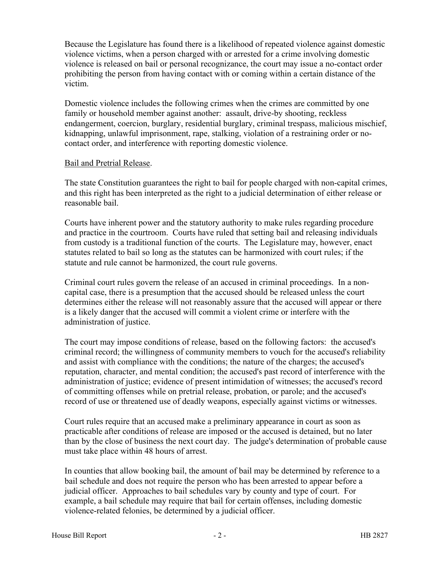Because the Legislature has found there is a likelihood of repeated violence against domestic violence victims, when a person charged with or arrested for a crime involving domestic violence is released on bail or personal recognizance, the court may issue a no-contact order prohibiting the person from having contact with or coming within a certain distance of the victim.

Domestic violence includes the following crimes when the crimes are committed by one family or household member against another: assault, drive-by shooting, reckless endangerment, coercion, burglary, residential burglary, criminal trespass, malicious mischief, kidnapping, unlawful imprisonment, rape, stalking, violation of a restraining order or nocontact order, and interference with reporting domestic violence.

## Bail and Pretrial Release.

The state Constitution guarantees the right to bail for people charged with non-capital crimes, and this right has been interpreted as the right to a judicial determination of either release or reasonable bail.

Courts have inherent power and the statutory authority to make rules regarding procedure and practice in the courtroom. Courts have ruled that setting bail and releasing individuals from custody is a traditional function of the courts. The Legislature may, however, enact statutes related to bail so long as the statutes can be harmonized with court rules; if the statute and rule cannot be harmonized, the court rule governs.

Criminal court rules govern the release of an accused in criminal proceedings. In a noncapital case, there is a presumption that the accused should be released unless the court determines either the release will not reasonably assure that the accused will appear or there is a likely danger that the accused will commit a violent crime or interfere with the administration of justice.

The court may impose conditions of release, based on the following factors: the accused's criminal record; the willingness of community members to vouch for the accused's reliability and assist with compliance with the conditions; the nature of the charges; the accused's reputation, character, and mental condition; the accused's past record of interference with the administration of justice; evidence of present intimidation of witnesses; the accused's record of committing offenses while on pretrial release, probation, or parole; and the accused's record of use or threatened use of deadly weapons, especially against victims or witnesses.

Court rules require that an accused make a preliminary appearance in court as soon as practicable after conditions of release are imposed or the accused is detained, but no later than by the close of business the next court day. The judge's determination of probable cause must take place within 48 hours of arrest.

In counties that allow booking bail, the amount of bail may be determined by reference to a bail schedule and does not require the person who has been arrested to appear before a judicial officer. Approaches to bail schedules vary by county and type of court. For example, a bail schedule may require that bail for certain offenses, including domestic violence-related felonies, be determined by a judicial officer.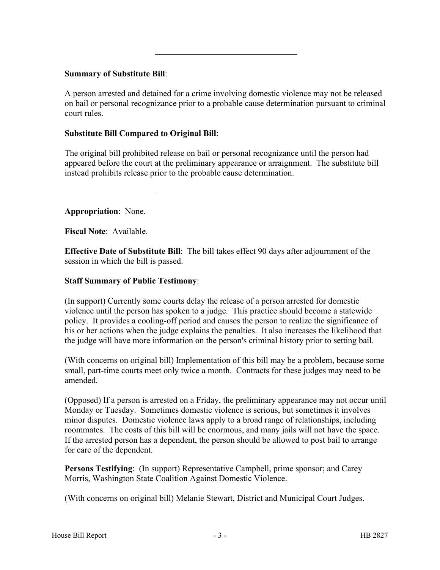## **Summary of Substitute Bill**:

A person arrested and detained for a crime involving domestic violence may not be released on bail or personal recognizance prior to a probable cause determination pursuant to criminal court rules.

–––––––––––––––––––––––––––––––––

## **Substitute Bill Compared to Original Bill**:

The original bill prohibited release on bail or personal recognizance until the person had appeared before the court at the preliminary appearance or arraignment. The substitute bill instead prohibits release prior to the probable cause determination.

–––––––––––––––––––––––––––––––––

## **Appropriation**: None.

**Fiscal Note**: Available.

**Effective Date of Substitute Bill**: The bill takes effect 90 days after adjournment of the session in which the bill is passed.

## **Staff Summary of Public Testimony**:

(In support) Currently some courts delay the release of a person arrested for domestic violence until the person has spoken to a judge. This practice should become a statewide policy. It provides a cooling-off period and causes the person to realize the significance of his or her actions when the judge explains the penalties. It also increases the likelihood that the judge will have more information on the person's criminal history prior to setting bail.

(With concerns on original bill) Implementation of this bill may be a problem, because some small, part-time courts meet only twice a month. Contracts for these judges may need to be amended.

(Opposed) If a person is arrested on a Friday, the preliminary appearance may not occur until Monday or Tuesday. Sometimes domestic violence is serious, but sometimes it involves minor disputes. Domestic violence laws apply to a broad range of relationships, including roommates. The costs of this bill will be enormous, and many jails will not have the space. If the arrested person has a dependent, the person should be allowed to post bail to arrange for care of the dependent.

**Persons Testifying**: (In support) Representative Campbell, prime sponsor; and Carey Morris, Washington State Coalition Against Domestic Violence.

(With concerns on original bill) Melanie Stewart, District and Municipal Court Judges.